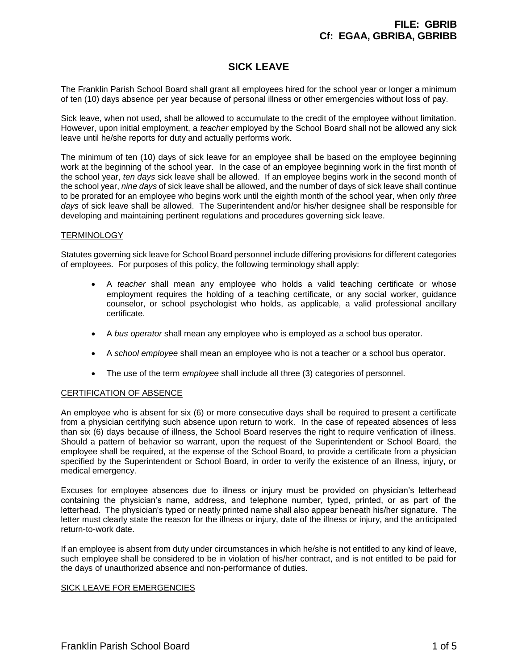# **SICK LEAVE**

The Franklin Parish School Board shall grant all employees hired for the school year or longer a minimum of ten (10) days absence per year because of personal illness or other emergencies without loss of pay.

Sick leave, when not used, shall be allowed to accumulate to the credit of the employee without limitation. However, upon initial employment, a *teacher* employed by the School Board shall not be allowed any sick leave until he/she reports for duty and actually performs work.

The minimum of ten (10) days of sick leave for an employee shall be based on the employee beginning work at the beginning of the school year. In the case of an employee beginning work in the first month of the school year, *ten days* sick leave shall be allowed. If an employee begins work in the second month of the school year, *nine days* of sick leave shall be allowed, and the number of days of sick leave shall continue to be prorated for an employee who begins work until the eighth month of the school year, when only *three days* of sick leave shall be allowed. The Superintendent and/or his/her designee shall be responsible for developing and maintaining pertinent regulations and procedures governing sick leave.

# **TERMINOLOGY**

Statutes governing sick leave for School Board personnel include differing provisions for different categories of employees. For purposes of this policy, the following terminology shall apply:

- A *teacher* shall mean any employee who holds a valid teaching certificate or whose employment requires the holding of a teaching certificate, or any social worker, guidance counselor, or school psychologist who holds, as applicable, a valid professional ancillary certificate.
- A *bus operator* shall mean any employee who is employed as a school bus operator.
- A *school employee* shall mean an employee who is not a teacher or a school bus operator.
- The use of the term *employee* shall include all three (3) categories of personnel.

# CERTIFICATION OF ABSENCE

An employee who is absent for six (6) or more consecutive days shall be required to present a certificate from a physician certifying such absence upon return to work. In the case of repeated absences of less than six (6) days because of illness, the School Board reserves the right to require verification of illness. Should a pattern of behavior so warrant, upon the request of the Superintendent or School Board, the employee shall be required, at the expense of the School Board, to provide a certificate from a physician specified by the Superintendent or School Board, in order to verify the existence of an illness, injury, or medical emergency.

Excuses for employee absences due to illness or injury must be provided on physician's letterhead containing the physician's name, address, and telephone number, typed, printed, or as part of the letterhead. The physician's typed or neatly printed name shall also appear beneath his/her signature. The letter must clearly state the reason for the illness or injury, date of the illness or injury, and the anticipated return-to-work date.

If an employee is absent from duty under circumstances in which he/she is not entitled to any kind of leave, such employee shall be considered to be in violation of his/her contract, and is not entitled to be paid for the days of unauthorized absence and non-performance of duties.

# SICK LEAVE FOR EMERGENCIES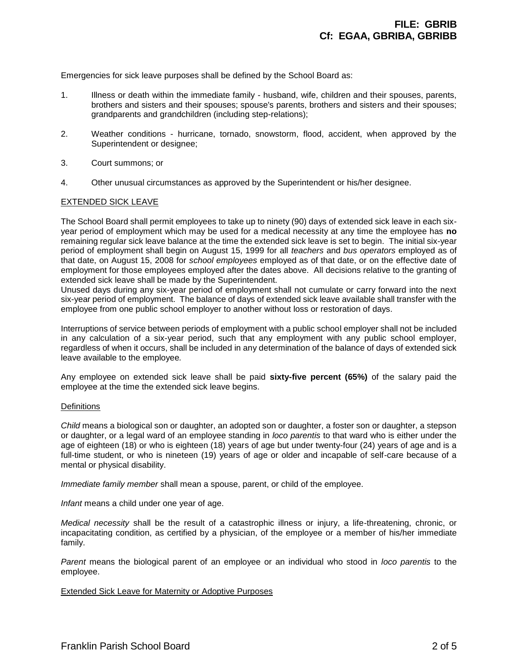Emergencies for sick leave purposes shall be defined by the School Board as:

- 1. Illness or death within the immediate family husband, wife, children and their spouses, parents, brothers and sisters and their spouses; spouse's parents, brothers and sisters and their spouses; grandparents and grandchildren (including step-relations);
- 2. Weather conditions hurricane, tornado, snowstorm, flood, accident, when approved by the Superintendent or designee;
- 3. Court summons; or
- 4. Other unusual circumstances as approved by the Superintendent or his/her designee.

#### EXTENDED SICK LEAVE

The School Board shall permit employees to take up to ninety (90) days of extended sick leave in each sixyear period of employment which may be used for a medical necessity at any time the employee has **no** remaining regular sick leave balance at the time the extended sick leave is set to begin. The initial six-year period of employment shall begin on August 15, 1999 for all *teachers* and *bus operators* employed as of that date, on August 15, 2008 for *school employees* employed as of that date, or on the effective date of employment for those employees employed after the dates above. All decisions relative to the granting of extended sick leave shall be made by the Superintendent.

Unused days during any six-year period of employment shall not cumulate or carry forward into the next six-year period of employment. The balance of days of extended sick leave available shall transfer with the employee from one public school employer to another without loss or restoration of days.

Interruptions of service between periods of employment with a public school employer shall not be included in any calculation of a six-year period, such that any employment with any public school employer, regardless of when it occurs, shall be included in any determination of the balance of days of extended sick leave available to the employee*.*

Any employee on extended sick leave shall be paid **sixty-five percent (65%)** of the salary paid the employee at the time the extended sick leave begins.

#### **Definitions**

*Child* means a biological son or daughter, an adopted son or daughter, a foster son or daughter, a stepson or daughter, or a legal ward of an employee standing in *loco parentis* to that ward who is either under the age of eighteen (18) or who is eighteen (18) years of age but under twenty-four (24) years of age and is a full-time student, or who is nineteen (19) years of age or older and incapable of self-care because of a mental or physical disability.

*Immediate family member* shall mean a spouse, parent, or child of the employee.

*Infant* means a child under one year of age.

*Medical necessity* shall be the result of a catastrophic illness or injury, a life-threatening, chronic, or incapacitating condition, as certified by a physician, of the employee or a member of his/her immediate family.

*Parent* means the biological parent of an employee or an individual who stood in *loco parentis* to the employee.

# Extended Sick Leave for Maternity or Adoptive Purposes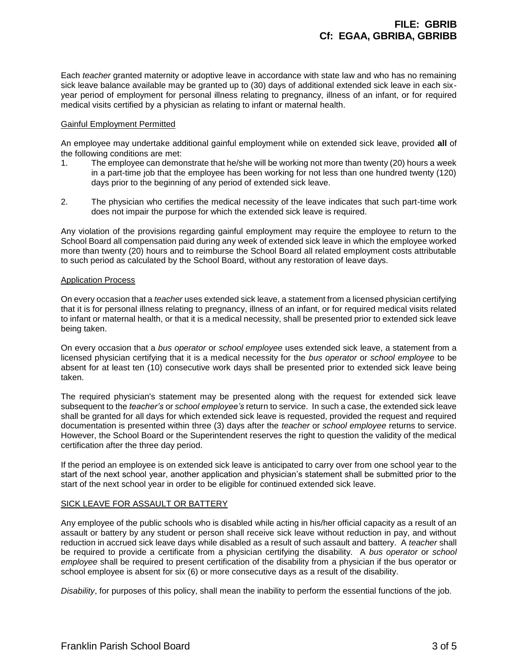Each *teacher* granted maternity or adoptive leave in accordance with state law and who has no remaining sick leave balance available may be granted up to (30) days of additional extended sick leave in each sixyear period of employment for personal illness relating to pregnancy, illness of an infant, or for required medical visits certified by a physician as relating to infant or maternal health.

# Gainful Employment Permitted

An employee may undertake additional gainful employment while on extended sick leave, provided **all** of the following conditions are met:

- 1. The employee can demonstrate that he/she will be working not more than twenty (20) hours a week in a part-time job that the employee has been working for not less than one hundred twenty (120) days prior to the beginning of any period of extended sick leave.
- 2. The physician who certifies the medical necessity of the leave indicates that such part-time work does not impair the purpose for which the extended sick leave is required.

Any violation of the provisions regarding gainful employment may require the employee to return to the School Board all compensation paid during any week of extended sick leave in which the employee worked more than twenty (20) hours and to reimburse the School Board all related employment costs attributable to such period as calculated by the School Board, without any restoration of leave days.

#### Application Process

On every occasion that a *teacher* uses extended sick leave, a statement from a licensed physician certifying that it is for personal illness relating to pregnancy, illness of an infant, or for required medical visits related to infant or maternal health, or that it is a medical necessity, shall be presented prior to extended sick leave being taken.

On every occasion that a *bus operator* or *school employee* uses extended sick leave, a statement from a licensed physician certifying that it is a medical necessity for the *bus operator* or *school employee* to be absent for at least ten (10) consecutive work days shall be presented prior to extended sick leave being taken.

The required physician's statement may be presented along with the request for extended sick leave subsequent to the *teacher's* or *school employee's* return to service. In such a case, the extended sick leave shall be granted for all days for which extended sick leave is requested, provided the request and required documentation is presented within three (3) days after the *teacher* or *school employee* returns to service. However, the School Board or the Superintendent reserves the right to question the validity of the medical certification after the three day period.

If the period an employee is on extended sick leave is anticipated to carry over from one school year to the start of the next school year, another application and physician's statement shall be submitted prior to the start of the next school year in order to be eligible for continued extended sick leave.

# SICK LEAVE FOR ASSAULT OR BATTERY

Any employee of the public schools who is disabled while acting in his/her official capacity as a result of an assault or battery by any student or person shall receive sick leave without reduction in pay, and without reduction in accrued sick leave days while disabled as a result of such assault and battery. A *teacher* shall be required to provide a certificate from a physician certifying the disability. A *bus operator* or *school employee* shall be required to present certification of the disability from a physician if the bus operator or school employee is absent for six (6) or more consecutive days as a result of the disability.

*Disability*, for purposes of this policy, shall mean the inability to perform the essential functions of the job.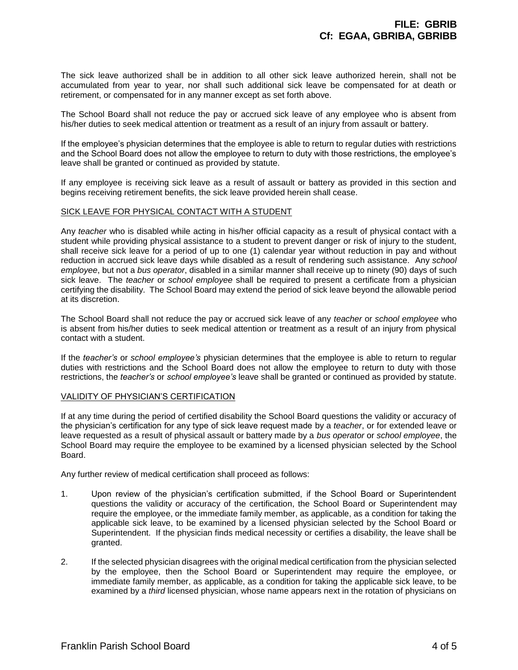The sick leave authorized shall be in addition to all other sick leave authorized herein, shall not be accumulated from year to year, nor shall such additional sick leave be compensated for at death or retirement, or compensated for in any manner except as set forth above.

The School Board shall not reduce the pay or accrued sick leave of any employee who is absent from his/her duties to seek medical attention or treatment as a result of an injury from assault or battery.

If the employee's physician determines that the employee is able to return to regular duties with restrictions and the School Board does not allow the employee to return to duty with those restrictions, the employee's leave shall be granted or continued as provided by statute.

If any employee is receiving sick leave as a result of assault or battery as provided in this section and begins receiving retirement benefits, the sick leave provided herein shall cease.

#### SICK LEAVE FOR PHYSICAL CONTACT WITH A STUDENT

Any *teacher* who is disabled while acting in his/her official capacity as a result of physical contact with a student while providing physical assistance to a student to prevent danger or risk of injury to the student, shall receive sick leave for a period of up to one (1) calendar year without reduction in pay and without reduction in accrued sick leave days while disabled as a result of rendering such assistance. Any *school employee*, but not a *bus operator*, disabled in a similar manner shall receive up to ninety (90) days of such sick leave. The *teacher* or *school employee* shall be required to present a certificate from a physician certifying the disability. The School Board may extend the period of sick leave beyond the allowable period at its discretion.

The School Board shall not reduce the pay or accrued sick leave of any *teacher* or *school employee* who is absent from his/her duties to seek medical attention or treatment as a result of an injury from physical contact with a student.

If the *teacher's* or *school employee's* physician determines that the employee is able to return to regular duties with restrictions and the School Board does not allow the employee to return to duty with those restrictions, the *teacher's* or *school employee's* leave shall be granted or continued as provided by statute.

#### VALIDITY OF PHYSICIAN'S CERTIFICATION

If at any time during the period of certified disability the School Board questions the validity or accuracy of the physician's certification for any type of sick leave request made by a *teacher*, or for extended leave or leave requested as a result of physical assault or battery made by a *bus operator* or *school employee*, the School Board may require the employee to be examined by a licensed physician selected by the School Board.

Any further review of medical certification shall proceed as follows:

- 1. Upon review of the physician's certification submitted, if the School Board or Superintendent questions the validity or accuracy of the certification, the School Board or Superintendent may require the employee, or the immediate family member, as applicable, as a condition for taking the applicable sick leave, to be examined by a licensed physician selected by the School Board or Superintendent. If the physician finds medical necessity or certifies a disability, the leave shall be granted.
- 2. If the selected physician disagrees with the original medical certification from the physician selected by the employee, then the School Board or Superintendent may require the employee, or immediate family member, as applicable, as a condition for taking the applicable sick leave, to be examined by a *third* licensed physician, whose name appears next in the rotation of physicians on